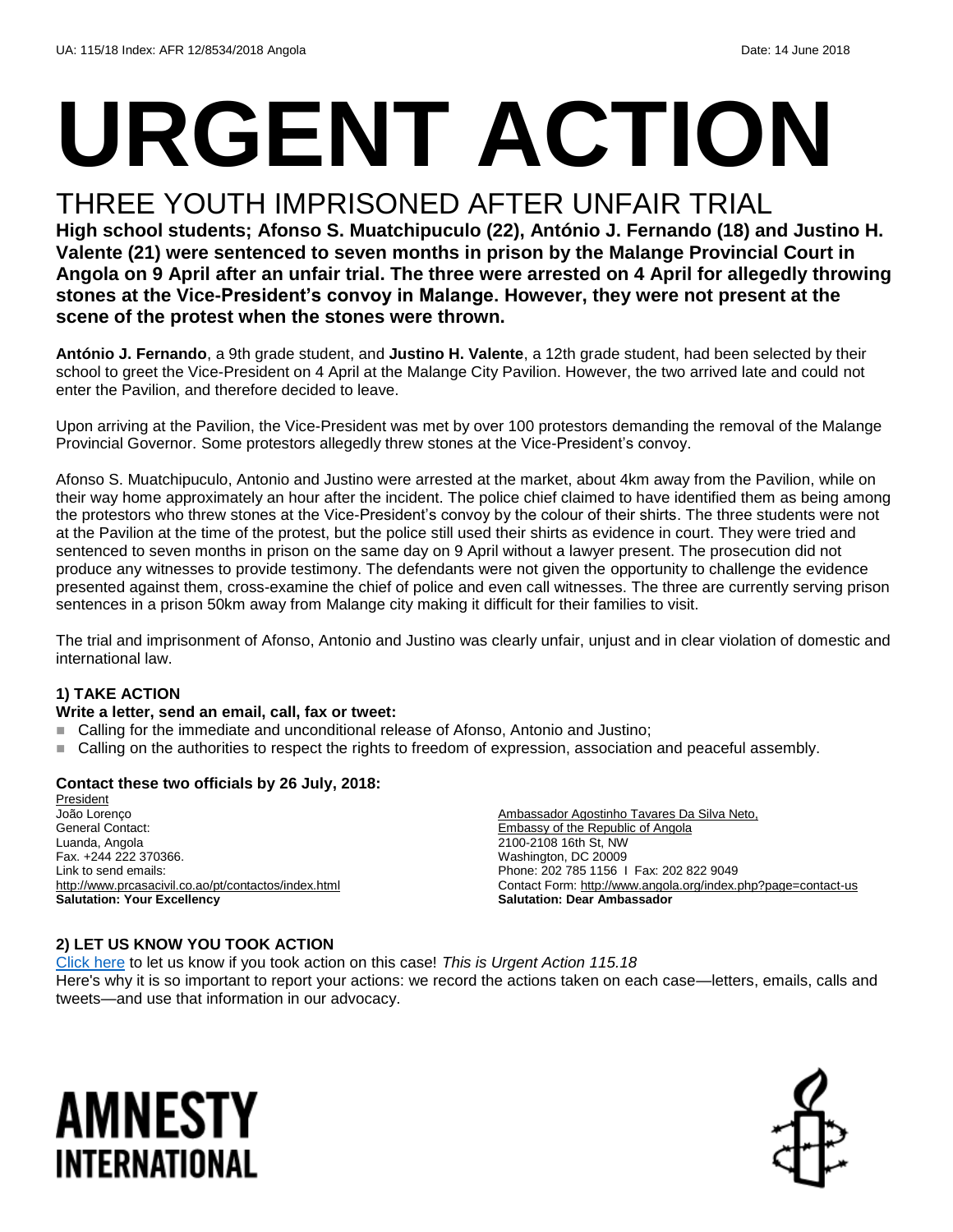# **URGENT ACTION**

#### THREE YOUTH IMPRISONED AFTER UNFAIR TRIAL

**High school students; Afonso S. Muatchipuculo (22), António J. Fernando (18) and Justino H. Valente (21) were sentenced to seven months in prison by the Malange Provincial Court in Angola on 9 April after an unfair trial. The three were arrested on 4 April for allegedly throwing stones at the Vice-President's convoy in Malange. However, they were not present at the scene of the protest when the stones were thrown.**

**António J. Fernando**, a 9th grade student, and **Justino H. Valente**, a 12th grade student, had been selected by their school to greet the Vice-President on 4 April at the Malange City Pavilion. However, the two arrived late and could not enter the Pavilion, and therefore decided to leave.

Upon arriving at the Pavilion, the Vice-President was met by over 100 protestors demanding the removal of the Malange Provincial Governor. Some protestors allegedly threw stones at the Vice-President's convoy.

Afonso S. Muatchipuculo, Antonio and Justino were arrested at the market, about 4km away from the Pavilion, while on their way home approximately an hour after the incident. The police chief claimed to have identified them as being among the protestors who threw stones at the Vice-President's convoy by the colour of their shirts. The three students were not at the Pavilion at the time of the protest, but the police still used their shirts as evidence in court. They were tried and sentenced to seven months in prison on the same day on 9 April without a lawyer present. The prosecution did not produce any witnesses to provide testimony. The defendants were not given the opportunity to challenge the evidence presented against them, cross-examine the chief of police and even call witnesses. The three are currently serving prison sentences in a prison 50km away from Malange city making it difficult for their families to visit.

The trial and imprisonment of Afonso, Antonio and Justino was clearly unfair, unjust and in clear violation of domestic and international law.

#### **1) TAKE ACTION**

#### **Write a letter, send an email, call, fax or tweet:**

- Calling for the immediate and unconditional release of Afonso, Antonio and Justino;
- Calling on the authorities to respect the rights to freedom of expression, association and peaceful assembly.

#### **Contact these two officials by 26 July, 2018:**

**President** João Lorenço General Contact: Luanda, Angola Fax. +244 222 370366. Link to send emails: <http://www.prcasacivil.co.ao/pt/contactos/index.html> **Salutation: Your Excellency**

Ambassador Agostinho Tavares Da Silva Neto, Embassy of the Republic of Angola 2100-2108 16th St, NW Washington, DC 20009 Phone: 202 785 1156 I Fax: 202 822 9049 Contact Form:<http://www.angola.org/index.php?page=contact-us> **Salutation: Dear Ambassador**

#### **2) LET US KNOW YOU TOOK ACTION**

[Click here](https://www.amnestyusa.org/report-urgent-actions/) to let us know if you took action on this case! *This is Urgent Action 115.18* Here's why it is so important to report your actions: we record the actions taken on each case—letters, emails, calls and tweets—and use that information in our advocacy.

### AMNESTY INTERNATIONAL